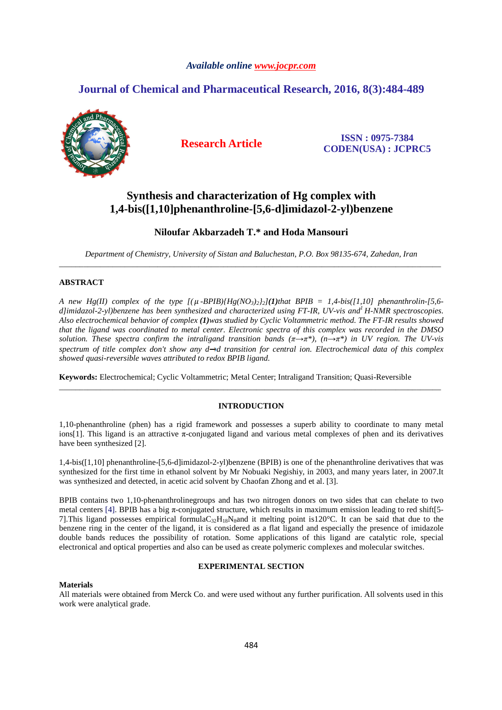## *Available online www.jocpr.com*

# **Journal of Chemical and Pharmaceutical Research, 2016, 8(3):484-489**



**Research Article ISSN : 0975-7384 CODEN(USA) : JCPRC5**

# **Synthesis and characterization of Hg complex with 1,4-bis([1,10]phenanthroline-[5,6-d]imidazol-2-yl)benzene**

# **Niloufar Akbarzadeh T.\* and Hoda Mansouri**

*Department of Chemistry, University of Sistan and Baluchestan, P.O. Box 98135-674, Zahedan, Iran* \_\_\_\_\_\_\_\_\_\_\_\_\_\_\_\_\_\_\_\_\_\_\_\_\_\_\_\_\_\_\_\_\_\_\_\_\_\_\_\_\_\_\_\_\_\_\_\_\_\_\_\_\_\_\_\_\_\_\_\_\_\_\_\_\_\_\_\_\_\_\_\_\_\_\_\_\_\_\_\_\_\_\_\_\_\_\_\_\_\_\_\_\_

## **ABSTRACT**

*A new Hg(II) complex of the type*  $[(\mu$ -*BPIB* $)(Hg(NO_3)_2/2)(I)$ *that BPIB* = 1,4-bis([1,10] phenanthrolin-[5,6-*d]imidazol-2-yl)benzene has been synthesized and characterized using FT-IR, UV-vis and<sup>1</sup>H-NMR spectroscopies. Also electrochemical behavior of complex (1)was studied by Cyclic Voltammetric method. The FT-IR results showed that the ligand was coordinated to metal center. Electronic spectra of this complex was recorded in the DMSO solution. These spectra confirm the intraligand transition bands (π→π\*), (n→π\*) in UV region. The UV-vis*  spectrum of title complex don't show any  $d \rightarrow d$  transition for central ion. Electrochemical data of this complex *showed quasi-reversible waves attributed to redox BPIB ligand.*

**Keywords:** Electrochemical; Cyclic Voltammetric; Metal Center; Intraligand Transition; Quasi-Reversible

## **INTRODUCTION**

\_\_\_\_\_\_\_\_\_\_\_\_\_\_\_\_\_\_\_\_\_\_\_\_\_\_\_\_\_\_\_\_\_\_\_\_\_\_\_\_\_\_\_\_\_\_\_\_\_\_\_\_\_\_\_\_\_\_\_\_\_\_\_\_\_\_\_\_\_\_\_\_\_\_\_\_\_\_\_\_\_\_\_\_\_\_\_\_\_\_\_\_\_

1,10-phenanthroline (phen) has a rigid framework and possesses a superb ability to coordinate to many metal ions[1]. This ligand is an attractive  $\pi$ -conjugated ligand and various metal complexes of phen and its derivatives have been synthesized [2].

1,4-bis([1,10] phenanthroline-[5,6-d]imidazol-2-yl)benzene (BPIB) is one of the phenanthroline derivatives that was synthesized for the first time in ethanol solvent by Mr Nobuaki Negishiy, in 2003, and many years later, in 2007.It was synthesized and detected, in acetic acid solvent by Chaofan Zhong and et al. [3].

BPIB contains two 1,10-phenanthrolinegroups and has two nitrogen donors on two sides that can chelate to two metal centers [4]. BPIB has a big π-conjugated structure, which results in maximum emission leading to red shift[5- 7]. This ligand possesses empirical formulaC<sub>32</sub>H<sub>18</sub>N<sub>8</sub>and it melting point is120°C. It can be said that due to the benzene ring in the center of the ligand, it is considered as a flat ligand and especially the presence of imidazole double bands reduces the possibility of rotation. Some applications of this ligand are catalytic role, special electronical and optical properties and also can be used as create polymeric complexes and molecular switches.

## **EXPERIMENTAL SECTION**

#### **Materials**

All materials were obtained from Merck Co. and were used without any further purification. All solvents used in this work were analytical grade.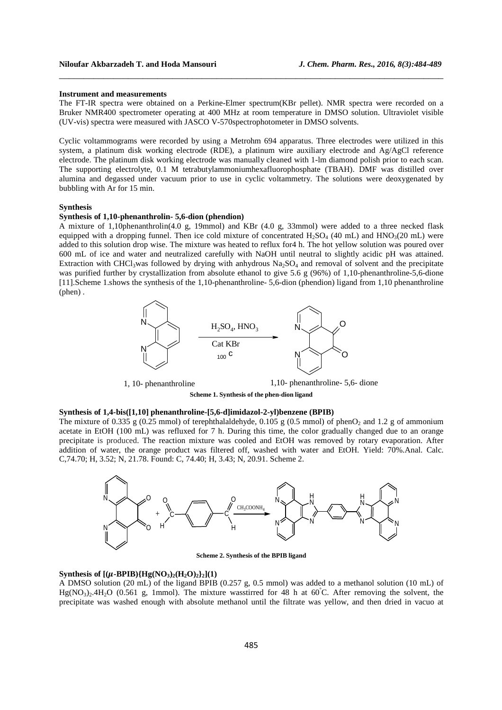#### **Instrument and measurements**

The FT-IR spectra were obtained on a Perkine-Elmer spectrum(KBr pellet). NMR spectra were recorded on a Bruker NMR400 spectrometer operating at 400 MHz at room temperature in DMSO solution. Ultraviolet visible (UV-vis) spectra were measured with JASCO V-570spectrophotometer in DMSO solvents.

\_\_\_\_\_\_\_\_\_\_\_\_\_\_\_\_\_\_\_\_\_\_\_\_\_\_\_\_\_\_\_\_\_\_\_\_\_\_\_\_\_\_\_\_\_\_\_\_\_\_\_\_\_\_\_\_\_\_\_\_\_\_\_\_\_\_\_\_\_\_\_\_\_\_\_\_\_\_

Cyclic voltammograms were recorded by using a Metrohm 694 apparatus. Three electrodes were utilized in this system, a platinum disk working electrode (RDE), a platinum wire auxiliary electrode and Ag/AgCl reference electrode. The platinum disk working electrode was manually cleaned with 1-lm diamond polish prior to each scan. The supporting electrolyte, 0.1 M tetrabutylammoniumhexafluorophosphate (TBAH). DMF was distilled over alumina and degassed under vacuum prior to use in cyclic voltammetry. The solutions were deoxygenated by bubbling with Ar for 15 min.

#### **Synthesis**

#### **Synthesis of 1,10-phenanthrolin- 5,6-dion (phendion)**

A mixture of 1,10phenanthrolin(4.0 g, 19mmol) and KBr (4.0 g, 33mmol) were added to a three necked flask equipped with a dropping funnel. Then ice cold mixture of concentrated  $H_2SO_4$  (40 mL) and  $HNO_3(20 \text{ mL})$  were added to this solution drop wise. The mixture was heated to reflux for4 h. The hot yellow solution was poured over 600 mL of ice and water and neutralized carefully with NaOH until neutral to slightly acidic pH was attained. Extraction with CHCl<sub>3</sub>was followed by drying with anhydrous Na<sub>2</sub>SO<sub>4</sub> and removal of solvent and the precipitate was purified further by crystallization from absolute ethanol to give 5.6 g (96%) of 1,10-phenanthroline-5,6-dione [11].Scheme 1.shows the synthesis of the 1,10-phenanthroline- 5,6-dion (phendion) ligand from 1,10 phenanthroline (phen) .



1, 10- phenanthroline 1,10- phenanthroline- 5,6- dione

**Scheme 1. Synthesis of the phen-dion ligand** 

#### **Synthesis of 1,4-bis([1,10] phenanthroline-[5,6-d]imidazol-2-yl)benzene (BPIB)**

The mixture of 0.335 g (0.25 mmol) of terephthalaldehyde, 0.105 g (0.5 mmol) of phenO<sub>2</sub> and 1.2 g of ammonium acetate in EtOH (100 mL) was refluxed for 7 h. During this time, the color gradually changed due to an orange precipitate is produced. The reaction mixture was cooled and EtOH was removed by rotary evaporation. After addition of water, the orange product was filtered off, washed with water and EtOH. Yield: 70%.Anal. Calc. C,74.70; H, 3.52; N, 21.78. Found: C, 74.40; H, 3.43; N, 20.91. Scheme 2.



**Scheme 2. Synthesis of the BPIB ligand** 

#### $\text{Synthesis of } [(\mu\text{-BPIB})\{\text{Hg}(\text{NO}_3)_2(\text{H}_2\text{O})_2\}_2]$ (1)

A DMSO solution (20 mL) of the ligand BPIB (0.257 g, 0.5 mmol) was added to a methanol solution (10 mL) of  $Hg(NO<sub>3</sub>)<sub>2</sub>·4H<sub>2</sub>O$  (0.561 g, 1mmol). The mixture wasstirred for 48 h at 60°C. After removing the solvent, the precipitate was washed enough with absolute methanol until the filtrate was yellow, and then dried in vacuo at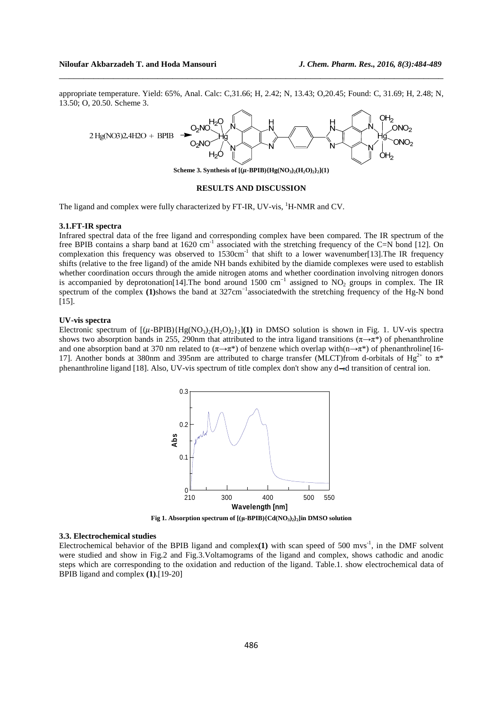#### **Niloufar Akbarzadeh T. and Hoda Mansouri** *J. Chem. Pharm. Res., 2016, 8(3):484-489*

appropriate temperature. Yield: 65%, Anal. Calc: C,31.66; H, 2.42; N, 13.43; O,20.45; Found: C, 31.69; H, 2.48; N, 13.50; O, 20.50. Scheme 3.

\_\_\_\_\_\_\_\_\_\_\_\_\_\_\_\_\_\_\_\_\_\_\_\_\_\_\_\_\_\_\_\_\_\_\_\_\_\_\_\_\_\_\_\_\_\_\_\_\_\_\_\_\_\_\_\_\_\_\_\_\_\_\_\_\_\_\_\_\_\_\_\_\_\_\_\_\_\_



#### **RESULTS AND DISCUSSION**

The ligand and complex were fully characterized by FT-IR, UV-vis, <sup>1</sup>H-NMR and CV.

#### **3.1.FT-IR spectra**

Infrared spectral data of the free ligand and corresponding complex have been compared. The IR spectrum of the free BPIB contains a sharp band at  $1620 \text{ cm}^{-1}$  associated with the stretching frequency of the C=N bond [12]. On complexation this frequency was observed to  $1530 \text{cm}^{-1}$  that shift to a lower wavenumber[13]. The IR frequency shifts (relative to the free ligand) of the amide NH bands exhibited by the diamide complexes were used to establish whether coordination occurs through the amide nitrogen atoms and whether coordination involving nitrogen donors is accompanied by deprotonation[14].The bond around 1500 cm<sup>-1</sup> assigned to NO<sub>2</sub> groups in complex. The IR spectrum of the complex **(1)**shows the band at 327cm<sup>-1</sup>associated with the stretching frequency of the Hg-N bond [15].

### **UV-vis spectra**

Electronic spectrum of  $[(\mu - BPIB)\{Hg(NO_3)_2(H_2O)_2\}](1)$  in DMSO solution is shown in Fig. 1. UV-vis spectra shows two absorption bands in 255, 290nm that attributed to the intra ligand transitions ( $\pi \rightarrow \pi^*$ ) of phenanthroline and one absorption band at 370 nm related to  $(\pi \rightarrow \pi^*)$  of benzene which overlap with(n→ $\pi^*$ ) of phenanthroline[16-17]. Another bonds at 380nm and 395nm are attributed to charge transfer (MLCT)from d-orbitals of Hg<sup>2+</sup> to  $\pi^*$ phenanthroline ligand [18]. Also, UV-vis spectrum of title complex don't show any  $d \rightarrow d$  transition of central ion.



**Fig 1. Absorption spectrum of**  $[(\mu\text{-BPIB})\{Cd(NO_3)_2\}$ **<b>z** $]$ **in DMSO solution** 

#### **3.3. Electrochemical studies**

Electrochemical behavior of the BPIB ligand and complex(1) with scan speed of 500 mvs<sup>-1</sup>, in the DMF solvent were studied and show in Fig.2 and Fig.3. Voltamograms of the ligand and complex, shows cathodic and anodic steps which are corresponding to the oxidation and reduction of the ligand. Table.1. show electrochemical data of BPIB ligand and complex **(1)**.[19-20]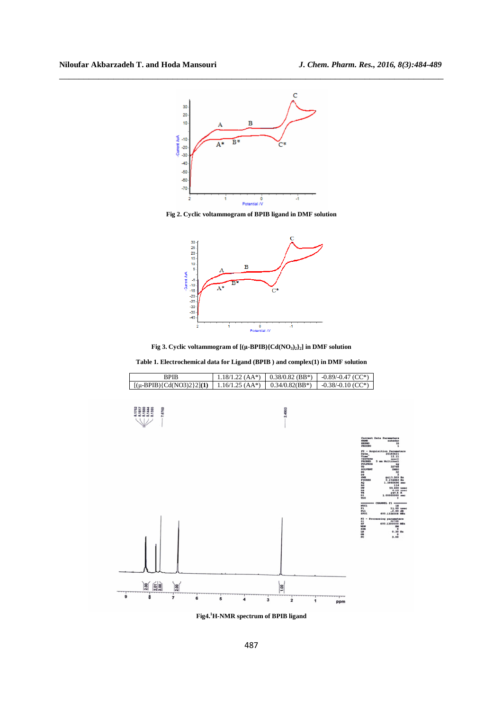

\_\_\_\_\_\_\_\_\_\_\_\_\_\_\_\_\_\_\_\_\_\_\_\_\_\_\_\_\_\_\_\_\_\_\_\_\_\_\_\_\_\_\_\_\_\_\_\_\_\_\_\_\_\_\_\_\_\_\_\_\_\_\_\_\_\_\_\_\_\_\_\_\_\_\_\_\_\_

**Fig 2. Cyclic voltammogram of BPIB ligand in DMF solution** 



**Fig 3. Cyclic voltammogram of [(µ-BPIB){Cd(NO3)2}2] in DMF solution** 

**Table 1. Electrochemical data for Ligand (BPIB ) and complex(1) in DMF solution** 



**Fig4.<sup>1</sup>H-NMR spectrum of BPIB ligand**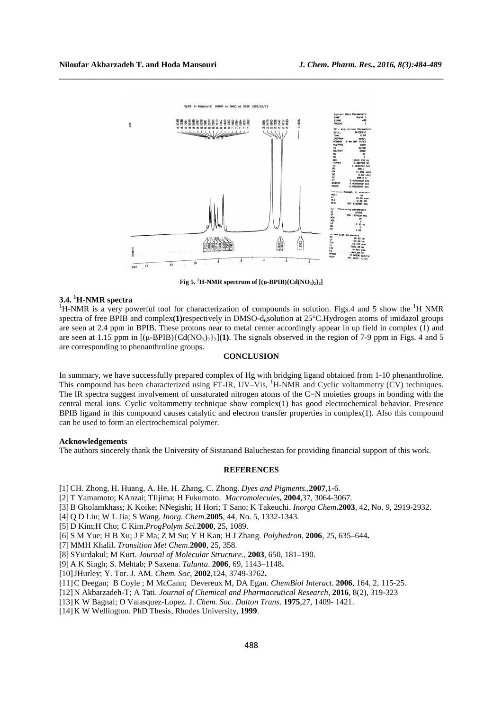

\_\_\_\_\_\_\_\_\_\_\_\_\_\_\_\_\_\_\_\_\_\_\_\_\_\_\_\_\_\_\_\_\_\_\_\_\_\_\_\_\_\_\_\_\_\_\_\_\_\_\_\_\_\_\_\_\_\_\_\_\_\_\_\_\_\_\_\_\_\_\_\_\_\_\_\_\_\_

**Fig 5.** <sup>1</sup>**H-NMR spectrum of**  $[(\mu$ **-BPIB** ${Cd(NO_3)_2}_2]_2$ 

### **3.4. <sup>1</sup>H-NMR spectra**

 ${}^{1}$ H-NMR is a very powerful tool for characterization of compounds in solution. Figs.4 and 5 show the  ${}^{1}$ H NMR spectra of free BPIB and complex(1)respectively in DMSO-d<sub>6</sub>solution at 25°C.Hydrogen atoms of imidazol groups are seen at 2.4 ppm in BPIB. These protons near to metal center accordingly appear in up field in complex (1) and are seen at 1.15 ppm in  $[(\mu-BPIB)\{Cd(NO_3)\}\cdot)(1)$ . The signals observed in the region of 7-9 ppm in Figs. 4 and 5 are corresponding to phenanthroline groups.

## **CONCLUSION**

In summary, we have successfully prepared complex of Hg with bridging ligand obtained from 1-10 phenanthroline. This compound has been characterized using FT-IR, UV–Vis, <sup>1</sup>H-NMR and Cyclic voltammetry (CV) techniques. The IR spectra suggest involvement of unsaturated nitrogen atoms of the C=N moieties groups in bonding with the central metal ions. Cyclic voltammetry technique show complex(1) has good electrochemical behavior. Presence BPIB ligand in this compound causes catalytic and electron transfer properties in complex(1). Also this compound can be used to form an electrochemical polymer.

#### **Acknowledgements**

The authors sincerely thank the University of Sistanand Baluchestan for providing financial support of this work.

## **REFERENCES**

[1] CH. Zhong, H. Huang, A. He, H. Zhang, C. Zhong. *Dyes and Pigments*.,**2007**,1-6.

- [2] T Yamamoto; KAnzai; TIijima; H Fukumoto. *Macromolecules***, 2004**,37, 3064-3067.
- [3] B Gholamkhass; K Koike; NNegishi; H Hori; T Sano; K Takeuchi. *Inorga Chem***.2003**, 42, No. 9, 2919-2932.
- [4] Q D Liu; W L Jia; S Wang. *Inorg. Chem*.**2005**, 44, No. 5, 1332-1343.
- [5] D Kim;H Cho; C Kim.*ProgPolym Sci.***2000**, 25, 1089.
- [6] S M Yue; H B Xu; J F Ma; Z M Su; Y H Kan; H J Zhang. *Polyhedron*, **2006**, 25, 635–644**.**
- [7] MMH Khalil. *Transition Met Chem*.**2000**, 25, 358.
- [8] SYurdakul; M Kurt. *Journal of Molecular Structure*., **2003**, 650, 181–190.
- [9] A K Singh; S. Mehtab; P Saxena. *Talanta*. **2006**, 69, 1143–1148**.**
- [10]JHurley; Y. Tor. J. AM. *Chem. Soc*, **2002**,124, 3749-3762**.**
- [11]C Deegan; B Coyle ; M McCann; Devereux M, DA Egan. *ChemBiol Interact.* **2006**, 164, 2, 115-25.
- [12]N Akbarzadeh-T; A Tati. *Journal of Chemical and Pharmaceutical Research,* **2016**, 8(2), 319-323
- [13]K W Bagnal; O Valasquez-Lopez. J. *Chem. Soc. Dalton Trans*. **1975**,27, 1409- 1421.
- [14]K W Wellington. PhD Thesis, Rhodes University, **1999**.